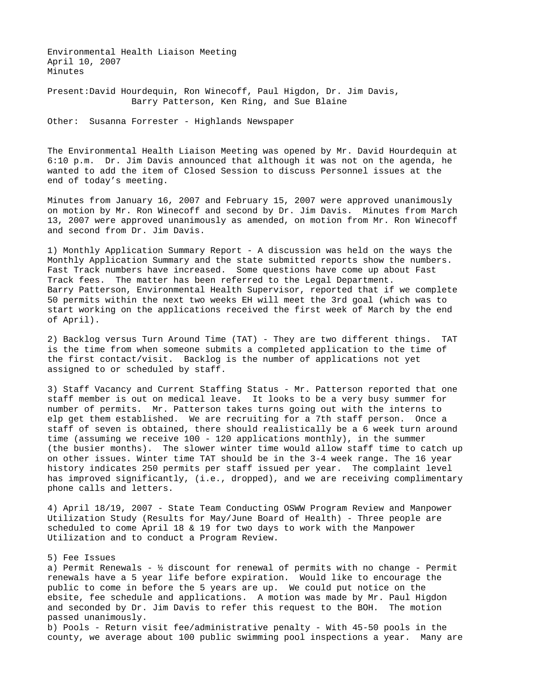Environmental Health Liaison Meeting April 10, 2007 Minutes

Present: David Hourdequin, Ron Winecoff, Paul Higdon, Dr. Jim Davis, Barry Patterson, Ken Ring, and Sue Blaine

Other: Susanna Forrester - Highlands Newspaper

The Environmental Health Liaison Meeting was opened by Mr. David Hourdequin at 6:10 p.m. Dr. Jim Davis announced that although it was not on the agenda, he wanted to add the item of Closed Session to discuss Personnel issues at the end of today's meeting.

Minutes from January 16, 2007 and February 15, 2007 were approved unanimously on motion by Mr. Ron Winecoff and second by Dr. Jim Davis. Minutes from March 13, 2007 were approved unanimously as amended, on motion from Mr. Ron Winecoff and second from Dr. Jim Davis.

1) Monthly Application Summary Report - A discussion was held on the ways the Monthly Application Summary and the state submitted reports show the numbers. Fast Track numbers have increased. Some questions have come up about Fast Track fees. The matter has been referred to the Legal Department. Barry Patterson, Environmental Health Supervisor, reported that if we complete 50 permits within the next two weeks EH will meet the 3rd goal (which was to start working on the applications received the first week of March by the end of April).

2) Backlog versus Turn Around Time (TAT) - They are two different things. TAT is the time from when someone submits a completed application to the time of the first contact/visit. Backlog is the number of applications not yet assigned to or scheduled by staff.

3) Staff Vacancy and Current Staffing Status - Mr. Patterson reported that one staff member is out on medical leave. It looks to be a very busy summer for number of permits. Mr. Patterson takes turns going out with the interns to elp get them established. We are recruiting for a 7th staff person. Once a staff of seven is obtained, there should realistically be a 6 week turn around time (assuming we receive 100 - 120 applications monthly), in the summer (the busier months). The slower winter time would allow staff time to catch up on other issues. Winter time TAT should be in the 3-4 week range. The 16 year history indicates 250 permits per staff issued per year. The complaint level has improved significantly, (i.e., dropped), and we are receiving complimentary phone calls and letters.

4) April 18/19, 2007 - State Team Conducting OSWW Program Review and Manpower Utilization Study (Results for May/June Board of Health) - Three people are scheduled to come April 18 & 19 for two days to work with the Manpower Utilization and to conduct a Program Review.

## 5) Fee Issues

a) Permit Renewals -  $\frac{1}{2}$  discount for renewal of permits with no change - Permit renewals have a 5 year life before expiration. Would like to encourage the public to come in before the 5 years are up. We could put notice on the ebsite, fee schedule and applications. A motion was made by Mr. Paul Higdon and seconded by Dr. Jim Davis to refer this request to the BOH. The motion passed unanimously.

b) Pools - Return visit fee/administrative penalty - With 45-50 pools in the county, we average about 100 public swimming pool inspections a year. Many are